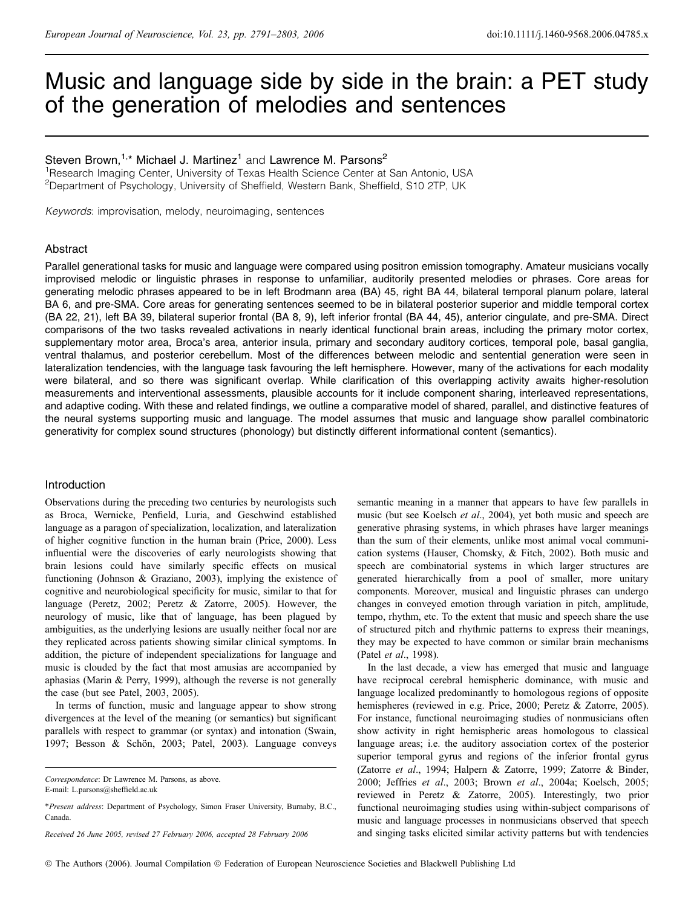# Music and language side by side in the brain: a PET study of the generation of melodies and sentences

# Steven Brown,<sup>1,\*</sup> Michael J. Martinez<sup>1</sup> and Lawrence M. Parsons<sup>2</sup>

<sup>1</sup>Research Imaging Center, University of Texas Health Science Center at San Antonio, USA <sup>2</sup>Department of Psychology, University of Sheffield, Western Bank, Sheffield, S10 2TP, UK

Keywords: improvisation, melody, neuroimaging, sentences

# Abstract

Parallel generational tasks for music and language were compared using positron emission tomography. Amateur musicians vocally improvised melodic or linguistic phrases in response to unfamiliar, auditorily presented melodies or phrases. Core areas for generating melodic phrases appeared to be in left Brodmann area (BA) 45, right BA 44, bilateral temporal planum polare, lateral BA 6, and pre-SMA. Core areas for generating sentences seemed to be in bilateral posterior superior and middle temporal cortex (BA 22, 21), left BA 39, bilateral superior frontal (BA 8, 9), left inferior frontal (BA 44, 45), anterior cingulate, and pre-SMA. Direct comparisons of the two tasks revealed activations in nearly identical functional brain areas, including the primary motor cortex, supplementary motor area, Broca's area, anterior insula, primary and secondary auditory cortices, temporal pole, basal ganglia, ventral thalamus, and posterior cerebellum. Most of the differences between melodic and sentential generation were seen in lateralization tendencies, with the language task favouring the left hemisphere. However, many of the activations for each modality were bilateral, and so there was significant overlap. While clarification of this overlapping activity awaits higher-resolution measurements and interventional assessments, plausible accounts for it include component sharing, interleaved representations, and adaptive coding. With these and related findings, we outline a comparative model of shared, parallel, and distinctive features of the neural systems supporting music and language. The model assumes that music and language show parallel combinatoric generativity for complex sound structures (phonology) but distinctly different informational content (semantics).

# Introduction

Observations during the preceding two centuries by neurologists such as Broca, Wernicke, Penfield, Luria, and Geschwind established language as a paragon of specialization, localization, and lateralization of higher cognitive function in the human brain (Price, 2000). Less influential were the discoveries of early neurologists showing that brain lesions could have similarly specific effects on musical functioning (Johnson & Graziano, 2003), implying the existence of cognitive and neurobiological specificity for music, similar to that for language (Peretz, 2002; Peretz & Zatorre, 2005). However, the neurology of music, like that of language, has been plagued by ambiguities, as the underlying lesions are usually neither focal nor are they replicated across patients showing similar clinical symptoms. In addition, the picture of independent specializations for language and music is clouded by the fact that most amusias are accompanied by aphasias (Marin & Perry, 1999), although the reverse is not generally the case (but see Patel, 2003, 2005).

In terms of function, music and language appear to show strong divergences at the level of the meaning (or semantics) but significant parallels with respect to grammar (or syntax) and intonation (Swain, 1997; Besson & Schön, 2003; Patel, 2003). Language conveys

Received 26 June 2005, revised 27 February 2006, accepted 28 February 2006

semantic meaning in a manner that appears to have few parallels in music (but see Koelsch et al., 2004), yet both music and speech are generative phrasing systems, in which phrases have larger meanings than the sum of their elements, unlike most animal vocal communication systems (Hauser, Chomsky, & Fitch, 2002). Both music and speech are combinatorial systems in which larger structures are generated hierarchically from a pool of smaller, more unitary components. Moreover, musical and linguistic phrases can undergo changes in conveyed emotion through variation in pitch, amplitude, tempo, rhythm, etc. To the extent that music and speech share the use of structured pitch and rhythmic patterns to express their meanings, they may be expected to have common or similar brain mechanisms (Patel et al., 1998).

In the last decade, a view has emerged that music and language have reciprocal cerebral hemispheric dominance, with music and language localized predominantly to homologous regions of opposite hemispheres (reviewed in e.g. Price, 2000; Peretz & Zatorre, 2005). For instance, functional neuroimaging studies of nonmusicians often show activity in right hemispheric areas homologous to classical language areas; i.e. the auditory association cortex of the posterior superior temporal gyrus and regions of the inferior frontal gyrus (Zatorre et al., 1994; Halpern & Zatorre, 1999; Zatorre & Binder, 2000; Jeffries et al., 2003; Brown et al., 2004a; Koelsch, 2005; reviewed in Peretz & Zatorre, 2005). Interestingly, two prior functional neuroimaging studies using within-subject comparisons of music and language processes in nonmusicians observed that speech and singing tasks elicited similar activity patterns but with tendencies

Correspondence: Dr Lawrence M. Parsons, as above. E-mail: L.parsons@sheffield.ac.uk

*<sup>\*</sup>*Present address: Department of Psychology, Simon Fraser University, Burnaby, B.C., Canada.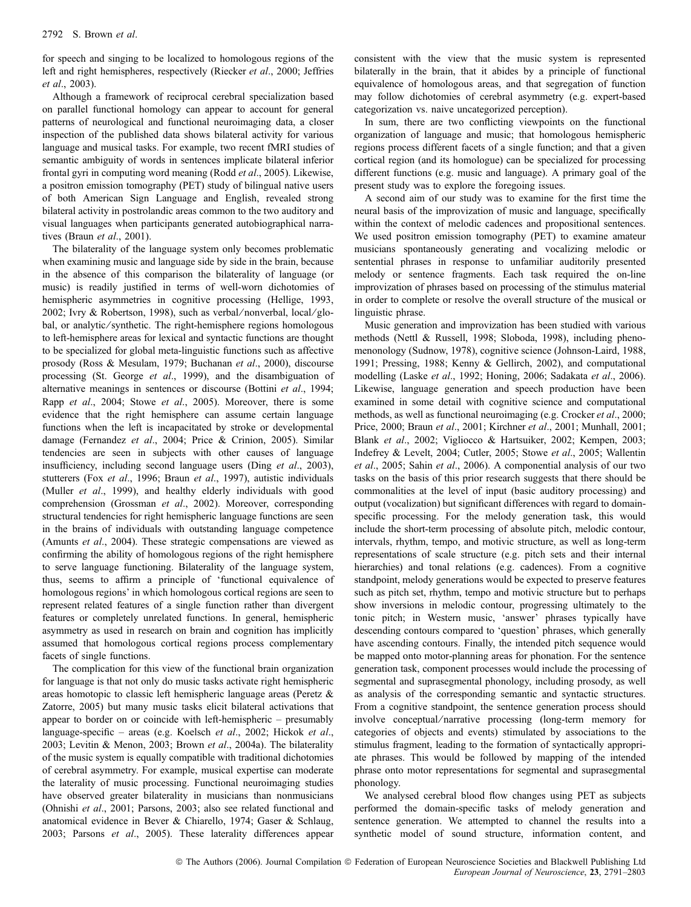for speech and singing to be localized to homologous regions of the left and right hemispheres, respectively (Riecker et al., 2000; Jeffries et al., 2003).

Although a framework of reciprocal cerebral specialization based on parallel functional homology can appear to account for general patterns of neurological and functional neuroimaging data, a closer inspection of the published data shows bilateral activity for various language and musical tasks. For example, two recent fMRI studies of semantic ambiguity of words in sentences implicate bilateral inferior frontal gyri in computing word meaning (Rodd et al., 2005). Likewise, a positron emission tomography (PET) study of bilingual native users of both American Sign Language and English, revealed strong bilateral activity in postrolandic areas common to the two auditory and visual languages when participants generated autobiographical narratives (Braun et al., 2001).

The bilaterality of the language system only becomes problematic when examining music and language side by side in the brain, because in the absence of this comparison the bilaterality of language (or music) is readily justified in terms of well-worn dichotomies of hemispheric asymmetries in cognitive processing (Hellige, 1993, 2002; Ivry & Robertson, 1998), such as verbal/nonverbal, local/global, or analytic/synthetic. The right-hemisphere regions homologous to left-hemisphere areas for lexical and syntactic functions are thought to be specialized for global meta-linguistic functions such as affective prosody (Ross & Mesulam, 1979; Buchanan et al., 2000), discourse processing (St. George et al., 1999), and the disambiguation of alternative meanings in sentences or discourse (Bottini et al., 1994; Rapp et al., 2004; Stowe et al., 2005). Moreover, there is some evidence that the right hemisphere can assume certain language functions when the left is incapacitated by stroke or developmental damage (Fernandez et al., 2004; Price & Crinion, 2005). Similar tendencies are seen in subjects with other causes of language insufficiency, including second language users (Ding et al., 2003), stutterers (Fox et al., 1996; Braun et al., 1997), autistic individuals (Muller et al., 1999), and healthy elderly individuals with good comprehension (Grossman et al., 2002). Moreover, corresponding structural tendencies for right hemispheric language functions are seen in the brains of individuals with outstanding language competence (Amunts et al., 2004). These strategic compensations are viewed as confirming the ability of homologous regions of the right hemisphere to serve language functioning. Bilaterality of the language system, thus, seems to affirm a principle of 'functional equivalence of homologous regions' in which homologous cortical regions are seen to represent related features of a single function rather than divergent features or completely unrelated functions. In general, hemispheric asymmetry as used in research on brain and cognition has implicitly assumed that homologous cortical regions process complementary facets of single functions.

The complication for this view of the functional brain organization for language is that not only do music tasks activate right hemispheric areas homotopic to classic left hemispheric language areas (Peretz & Zatorre, 2005) but many music tasks elicit bilateral activations that appear to border on or coincide with left-hemispheric – presumably language-specific – areas (e.g. Koelsch et al., 2002; Hickok et al., 2003; Levitin & Menon, 2003; Brown et al., 2004a). The bilaterality of the music system is equally compatible with traditional dichotomies of cerebral asymmetry. For example, musical expertise can moderate the laterality of music processing. Functional neuroimaging studies have observed greater bilaterality in musicians than nonmusicians (Ohnishi et al., 2001; Parsons, 2003; also see related functional and anatomical evidence in Bever & Chiarello, 1974; Gaser & Schlaug, 2003; Parsons et al., 2005). These laterality differences appear

consistent with the view that the music system is represented bilaterally in the brain, that it abides by a principle of functional equivalence of homologous areas, and that segregation of function may follow dichotomies of cerebral asymmetry (e.g. expert-based categorization vs. naive uncategorized perception).

In sum, there are two conflicting viewpoints on the functional organization of language and music; that homologous hemispheric regions process different facets of a single function; and that a given cortical region (and its homologue) can be specialized for processing different functions (e.g. music and language). A primary goal of the present study was to explore the foregoing issues.

A second aim of our study was to examine for the first time the neural basis of the improvization of music and language, specifically within the context of melodic cadences and propositional sentences. We used positron emission tomography (PET) to examine amateur musicians spontaneously generating and vocalizing melodic or sentential phrases in response to unfamiliar auditorily presented melody or sentence fragments. Each task required the on-line improvization of phrases based on processing of the stimulus material in order to complete or resolve the overall structure of the musical or linguistic phrase.

Music generation and improvization has been studied with various methods (Nettl & Russell, 1998; Sloboda, 1998), including phenomenonology (Sudnow, 1978), cognitive science (Johnson-Laird, 1988, 1991; Pressing, 1988; Kenny & Gellirch, 2002), and computational modelling (Laske et al., 1992; Honing, 2006; Sadakata et al., 2006). Likewise, language generation and speech production have been examined in some detail with cognitive science and computational methods, as well as functional neuroimaging (e.g. Crocker et al., 2000; Price, 2000; Braun et al., 2001; Kirchner et al., 2001; Munhall, 2001; Blank et al., 2002; Vigliocco & Hartsuiker, 2002; Kempen, 2003; Indefrey & Levelt, 2004; Cutler, 2005; Stowe et al., 2005; Wallentin et al., 2005; Sahin et al., 2006). A componential analysis of our two tasks on the basis of this prior research suggests that there should be commonalities at the level of input (basic auditory processing) and output (vocalization) but significant differences with regard to domainspecific processing. For the melody generation task, this would include the short-term processing of absolute pitch, melodic contour, intervals, rhythm, tempo, and motivic structure, as well as long-term representations of scale structure (e.g. pitch sets and their internal hierarchies) and tonal relations (e.g. cadences). From a cognitive standpoint, melody generations would be expected to preserve features such as pitch set, rhythm, tempo and motivic structure but to perhaps show inversions in melodic contour, progressing ultimately to the tonic pitch; in Western music, 'answer' phrases typically have descending contours compared to 'question' phrases, which generally have ascending contours. Finally, the intended pitch sequence would be mapped onto motor-planning areas for phonation. For the sentence generation task, component processes would include the processing of segmental and suprasegmental phonology, including prosody, as well as analysis of the corresponding semantic and syntactic structures. From a cognitive standpoint, the sentence generation process should involve conceptual/narrative processing (long-term memory for categories of objects and events) stimulated by associations to the stimulus fragment, leading to the formation of syntactically appropriate phrases. This would be followed by mapping of the intended phrase onto motor representations for segmental and suprasegmental phonology.

We analysed cerebral blood flow changes using PET as subjects performed the domain-specific tasks of melody generation and sentence generation. We attempted to channel the results into a synthetic model of sound structure, information content, and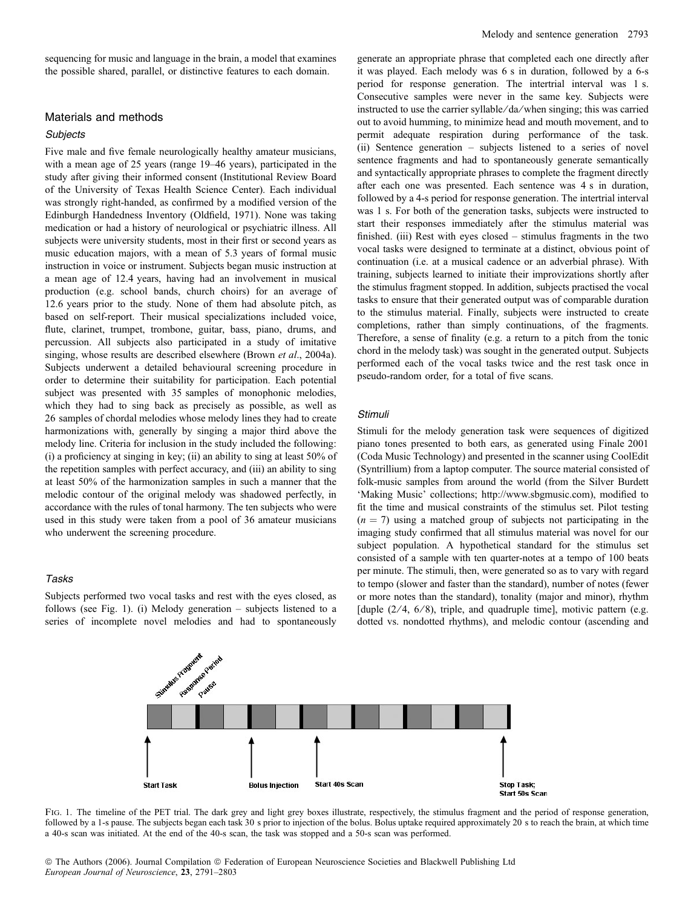sequencing for music and language in the brain, a model that examines the possible shared, parallel, or distinctive features to each domain.

## Materials and methods

## **Subjects**

Five male and five female neurologically healthy amateur musicians, with a mean age of 25 years (range 19–46 years), participated in the study after giving their informed consent (Institutional Review Board of the University of Texas Health Science Center). Each individual was strongly right-handed, as confirmed by a modified version of the Edinburgh Handedness Inventory (Oldfield, 1971). None was taking medication or had a history of neurological or psychiatric illness. All subjects were university students, most in their first or second years as music education majors, with a mean of 5.3 years of formal music instruction in voice or instrument. Subjects began music instruction at a mean age of 12.4 years, having had an involvement in musical production (e.g. school bands, church choirs) for an average of 12.6 years prior to the study. None of them had absolute pitch, as based on self-report. Their musical specializations included voice, flute, clarinet, trumpet, trombone, guitar, bass, piano, drums, and percussion. All subjects also participated in a study of imitative singing, whose results are described elsewhere (Brown et al., 2004a). Subjects underwent a detailed behavioural screening procedure in order to determine their suitability for participation. Each potential subject was presented with 35 samples of monophonic melodies, which they had to sing back as precisely as possible, as well as 26 samples of chordal melodies whose melody lines they had to create harmonizations with, generally by singing a major third above the melody line. Criteria for inclusion in the study included the following: (i) a proficiency at singing in key; (ii) an ability to sing at least 50% of the repetition samples with perfect accuracy, and (iii) an ability to sing at least 50% of the harmonization samples in such a manner that the melodic contour of the original melody was shadowed perfectly, in accordance with the rules of tonal harmony. The ten subjects who were used in this study were taken from a pool of 36 amateur musicians who underwent the screening procedure.

#### Tasks

Subjects performed two vocal tasks and rest with the eyes closed, as follows (see Fig. 1). (i) Melody generation – subjects listened to a series of incomplete novel melodies and had to spontaneously generate an appropriate phrase that completed each one directly after it was played. Each melody was 6 s in duration, followed by a 6-s period for response generation. The intertrial interval was 1 s. Consecutive samples were never in the same key. Subjects were instructed to use the carrier syllable/da/when singing; this was carried out to avoid humming, to minimize head and mouth movement, and to permit adequate respiration during performance of the task. (ii) Sentence generation – subjects listened to a series of novel sentence fragments and had to spontaneously generate semantically and syntactically appropriate phrases to complete the fragment directly after each one was presented. Each sentence was 4 s in duration, followed by a 4-s period for response generation. The intertrial interval was 1 s. For both of the generation tasks, subjects were instructed to start their responses immediately after the stimulus material was finished. (iii) Rest with eyes closed – stimulus fragments in the two vocal tasks were designed to terminate at a distinct, obvious point of continuation (i.e. at a musical cadence or an adverbial phrase). With training, subjects learned to initiate their improvizations shortly after the stimulus fragment stopped. In addition, subjects practised the vocal tasks to ensure that their generated output was of comparable duration to the stimulus material. Finally, subjects were instructed to create completions, rather than simply continuations, of the fragments. Therefore, a sense of finality (e.g. a return to a pitch from the tonic chord in the melody task) was sought in the generated output. Subjects performed each of the vocal tasks twice and the rest task once in pseudo-random order, for a total of five scans.

#### Stimuli

Stimuli for the melody generation task were sequences of digitized piano tones presented to both ears, as generated using Finale 2001 (Coda Music Technology) and presented in the scanner using CoolEdit (Syntrillium) from a laptop computer. The source material consisted of folk-music samples from around the world (from the Silver Burdett 'Making Music' collections; http://www.sbgmusic.com), modified to fit the time and musical constraints of the stimulus set. Pilot testing  $(n = 7)$  using a matched group of subjects not participating in the imaging study confirmed that all stimulus material was novel for our subject population. A hypothetical standard for the stimulus set consisted of a sample with ten quarter-notes at a tempo of 100 beats per minute. The stimuli, then, were generated so as to vary with regard to tempo (slower and faster than the standard), number of notes (fewer or more notes than the standard), tonality (major and minor), rhythm [duple  $(2/4, 6/8)$ , triple, and quadruple time], motivic pattern (e.g. dotted vs. nondotted rhythms), and melodic contour (ascending and



FIG. 1. The timeline of the PET trial. The dark grey and light grey boxes illustrate, respectively, the stimulus fragment and the period of response generation, followed by a 1-s pause. The subjects began each task 30 s prior to injection of the bolus. Bolus uptake required approximately 20 s to reach the brain, at which time a 40-s scan was initiated. At the end of the 40-s scan, the task was stopped and a 50-s scan was performed.

© The Authors (2006). Journal Compilation © Federation of European Neuroscience Societies and Blackwell Publishing Ltd European Journal of Neuroscience, 23, 2791–2803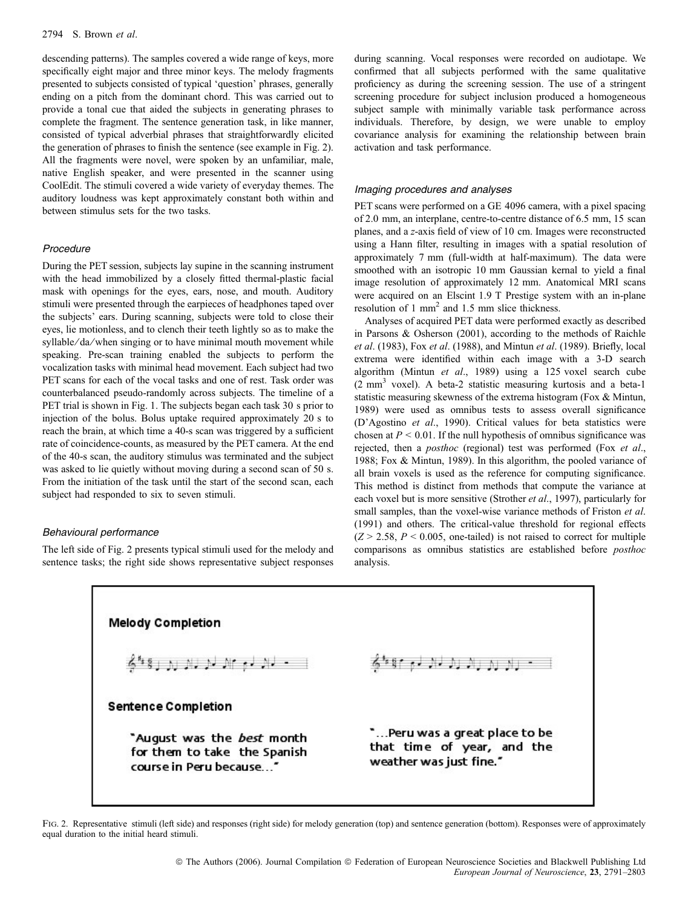descending patterns). The samples covered a wide range of keys, more specifically eight major and three minor keys. The melody fragments presented to subjects consisted of typical 'question' phrases, generally ending on a pitch from the dominant chord. This was carried out to provide a tonal cue that aided the subjects in generating phrases to complete the fragment. The sentence generation task, in like manner, consisted of typical adverbial phrases that straightforwardly elicited the generation of phrases to finish the sentence (see example in Fig. 2). All the fragments were novel, were spoken by an unfamiliar, male, native English speaker, and were presented in the scanner using CoolEdit. The stimuli covered a wide variety of everyday themes. The auditory loudness was kept approximately constant both within and between stimulus sets for the two tasks.

# Procedure

During the PET session, subjects lay supine in the scanning instrument with the head immobilized by a closely fitted thermal-plastic facial mask with openings for the eyes, ears, nose, and mouth. Auditory stimuli were presented through the earpieces of headphones taped over the subjects' ears. During scanning, subjects were told to close their eyes, lie motionless, and to clench their teeth lightly so as to make the syllable/da/when singing or to have minimal mouth movement while speaking. Pre-scan training enabled the subjects to perform the vocalization tasks with minimal head movement. Each subject had two PET scans for each of the vocal tasks and one of rest. Task order was counterbalanced pseudo-randomly across subjects. The timeline of a PET trial is shown in Fig. 1. The subjects began each task 30 s prior to injection of the bolus. Bolus uptake required approximately 20 s to reach the brain, at which time a 40-s scan was triggered by a sufficient rate of coincidence-counts, as measured by the PET camera. At the end of the 40-s scan, the auditory stimulus was terminated and the subject was asked to lie quietly without moving during a second scan of 50 s. From the initiation of the task until the start of the second scan, each subject had responded to six to seven stimuli.

# Behavioural performance

The left side of Fig. 2 presents typical stimuli used for the melody and sentence tasks; the right side shows representative subject responses during scanning. Vocal responses were recorded on audiotape. We confirmed that all subjects performed with the same qualitative proficiency as during the screening session. The use of a stringent screening procedure for subject inclusion produced a homogeneous subject sample with minimally variable task performance across individuals. Therefore, by design, we were unable to employ covariance analysis for examining the relationship between brain activation and task performance.

# Imaging procedures and analyses

PET scans were performed on a GE 4096 camera, with a pixel spacing of 2.0 mm, an interplane, centre-to-centre distance of 6.5 mm, 15 scan planes, and a z-axis field of view of 10 cm. Images were reconstructed using a Hann filter, resulting in images with a spatial resolution of approximately 7 mm (full-width at half-maximum). The data were smoothed with an isotropic 10 mm Gaussian kernal to yield a final image resolution of approximately 12 mm. Anatomical MRI scans were acquired on an Elscint 1.9 T Prestige system with an in-plane resolution of 1 mm<sup>2</sup> and 1.5 mm slice thickness.

Analyses of acquired PET data were performed exactly as described in Parsons & Osherson (2001), according to the methods of Raichle et al. (1983), Fox et al. (1988), and Mintun et al. (1989). Briefly, local extrema were identified within each image with a 3-D search algorithm (Mintun et al., 1989) using a 125 voxel search cube  $(2 \text{ mm}^3 \text{ voxel})$ . A beta-2 statistic measuring kurtosis and a beta-1 statistic measuring skewness of the extrema histogram (Fox & Mintun, 1989) were used as omnibus tests to assess overall significance (D'Agostino et al., 1990). Critical values for beta statistics were chosen at  $P \le 0.01$ . If the null hypothesis of omnibus significance was rejected, then a *posthoc* (regional) test was performed (Fox et al., 1988; Fox & Mintun, 1989). In this algorithm, the pooled variance of all brain voxels is used as the reference for computing significance. This method is distinct from methods that compute the variance at each voxel but is more sensitive (Strother et al., 1997), particularly for small samples, than the voxel-wise variance methods of Friston et al. (1991) and others. The critical-value threshold for regional effects  $(Z > 2.58, P < 0.005,$  one-tailed) is not raised to correct for multiple comparisons as omnibus statistics are established before posthoc analysis.



FIG. 2. Representative stimuli (left side) and responses (right side) for melody generation (top) and sentence generation (bottom). Responses were of approximately equal duration to the initial heard stimuli.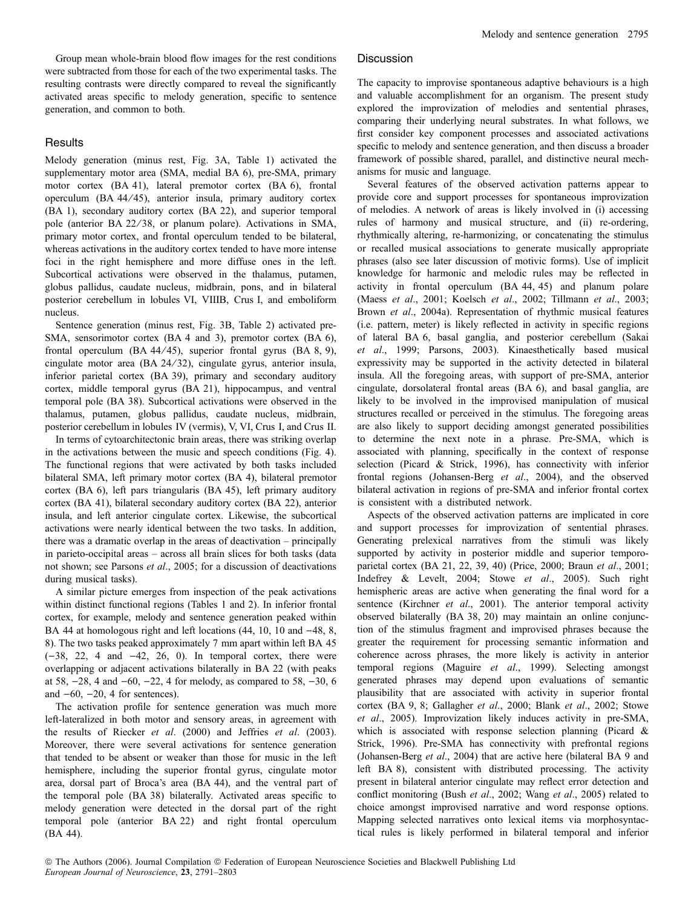Group mean whole-brain blood flow images for the rest conditions were subtracted from those for each of the two experimental tasks. The resulting contrasts were directly compared to reveal the significantly activated areas specific to melody generation, specific to sentence generation, and common to both.

# **Results**

Melody generation (minus rest, Fig. 3A, Table 1) activated the supplementary motor area (SMA, medial BA 6), pre-SMA, primary motor cortex (BA 41), lateral premotor cortex (BA 6), frontal operculum (BA 44/45), anterior insula, primary auditory cortex (BA 1), secondary auditory cortex (BA 22), and superior temporal pole (anterior BA 22/38, or planum polare). Activations in SMA, primary motor cortex, and frontal operculum tended to be bilateral, whereas activations in the auditory cortex tended to have more intense foci in the right hemisphere and more diffuse ones in the left. Subcortical activations were observed in the thalamus, putamen, globus pallidus, caudate nucleus, midbrain, pons, and in bilateral posterior cerebellum in lobules VI, VIIIB, Crus I, and emboliform nucleus.

Sentence generation (minus rest, Fig. 3B, Table 2) activated pre-SMA, sensorimotor cortex (BA 4 and 3), premotor cortex (BA 6), frontal operculum (BA 44/45), superior frontal gyrus (BA 8, 9), cingulate motor area (BA 24/32), cingulate gyrus, anterior insula, inferior parietal cortex (BA 39), primary and secondary auditory cortex, middle temporal gyrus (BA 21), hippocampus, and ventral temporal pole (BA 38). Subcortical activations were observed in the thalamus, putamen, globus pallidus, caudate nucleus, midbrain, posterior cerebellum in lobules IV (vermis), V, VI, Crus I, and Crus II.

In terms of cytoarchitectonic brain areas, there was striking overlap in the activations between the music and speech conditions (Fig. 4). The functional regions that were activated by both tasks included bilateral SMA, left primary motor cortex (BA 4), bilateral premotor cortex (BA 6), left pars triangularis (BA 45), left primary auditory cortex (BA 41), bilateral secondary auditory cortex (BA 22), anterior insula, and left anterior cingulate cortex. Likewise, the subcortical activations were nearly identical between the two tasks. In addition, there was a dramatic overlap in the areas of deactivation – principally in parieto-occipital areas – across all brain slices for both tasks (data not shown; see Parsons et al., 2005; for a discussion of deactivations during musical tasks).

A similar picture emerges from inspection of the peak activations within distinct functional regions (Tables 1 and 2). In inferior frontal cortex, for example, melody and sentence generation peaked within BA 44 at homologous right and left locations  $(44, 10, 10, 10, 48, 8, 10)$ 8). The two tasks peaked approximately 7 mm apart within left BA 45  $(-38, 22, 4 \text{ and } -42, 26, 0)$ . In temporal cortex, there were overlapping or adjacent activations bilaterally in BA 22 (with peaks at 58,  $-28$ , 4 and  $-60$ ,  $-22$ , 4 for melody, as compared to 58,  $-30$ , 6 and  $-60$ ,  $-20$ , 4 for sentences).

The activation profile for sentence generation was much more left-lateralized in both motor and sensory areas, in agreement with the results of Riecker et al. (2000) and Jeffries et al. (2003). Moreover, there were several activations for sentence generation that tended to be absent or weaker than those for music in the left hemisphere, including the superior frontal gyrus, cingulate motor area, dorsal part of Broca's area (BA 44), and the ventral part of the temporal pole (BA 38) bilaterally. Activated areas specific to melody generation were detected in the dorsal part of the right temporal pole (anterior BA 22) and right frontal operculum (BA 44).

#### **Discussion**

The capacity to improvise spontaneous adaptive behaviours is a high and valuable accomplishment for an organism. The present study explored the improvization of melodies and sentential phrases, comparing their underlying neural substrates. In what follows, we first consider key component processes and associated activations specific to melody and sentence generation, and then discuss a broader framework of possible shared, parallel, and distinctive neural mechanisms for music and language.

Several features of the observed activation patterns appear to provide core and support processes for spontaneous improvization of melodies. A network of areas is likely involved in (i) accessing rules of harmony and musical structure, and (ii) re-ordering, rhythmically altering, re-harmonizing, or concatenating the stimulus or recalled musical associations to generate musically appropriate phrases (also see later discussion of motivic forms). Use of implicit knowledge for harmonic and melodic rules may be reflected in activity in frontal operculum (BA 44, 45) and planum polare (Maess et al., 2001; Koelsch et al., 2002; Tillmann et al., 2003; Brown et al., 2004a). Representation of rhythmic musical features (i.e. pattern, meter) is likely reflected in activity in specific regions of lateral BA 6, basal ganglia, and posterior cerebellum (Sakai et al., 1999; Parsons, 2003). Kinaesthetically based musical expressivity may be supported in the activity detected in bilateral insula. All the foregoing areas, with support of pre-SMA, anterior cingulate, dorsolateral frontal areas (BA 6), and basal ganglia, are likely to be involved in the improvised manipulation of musical structures recalled or perceived in the stimulus. The foregoing areas are also likely to support deciding amongst generated possibilities to determine the next note in a phrase. Pre-SMA, which is associated with planning, specifically in the context of response selection (Picard & Strick, 1996), has connectivity with inferior frontal regions (Johansen-Berg et al., 2004), and the observed bilateral activation in regions of pre-SMA and inferior frontal cortex is consistent with a distributed network.

Aspects of the observed activation patterns are implicated in core and support processes for improvization of sentential phrases. Generating prelexical narratives from the stimuli was likely supported by activity in posterior middle and superior temporoparietal cortex (BA 21, 22, 39, 40) (Price, 2000; Braun et al., 2001; Indefrey & Levelt, 2004; Stowe et al., 2005). Such right hemispheric areas are active when generating the final word for a sentence (Kirchner et al., 2001). The anterior temporal activity observed bilaterally (BA 38, 20) may maintain an online conjunction of the stimulus fragment and improvised phrases because the greater the requirement for processing semantic information and coherence across phrases, the more likely is activity in anterior temporal regions (Maguire et al., 1999). Selecting amongst generated phrases may depend upon evaluations of semantic plausibility that are associated with activity in superior frontal cortex (BA 9, 8; Gallagher et al., 2000; Blank et al., 2002; Stowe et al., 2005). Improvization likely induces activity in pre-SMA, which is associated with response selection planning (Picard & Strick, 1996). Pre-SMA has connectivity with prefrontal regions (Johansen-Berg et al., 2004) that are active here (bilateral BA 9 and left BA 8), consistent with distributed processing. The activity present in bilateral anterior cingulate may reflect error detection and conflict monitoring (Bush et al., 2002; Wang et al., 2005) related to choice amongst improvised narrative and word response options. Mapping selected narratives onto lexical items via morphosyntactical rules is likely performed in bilateral temporal and inferior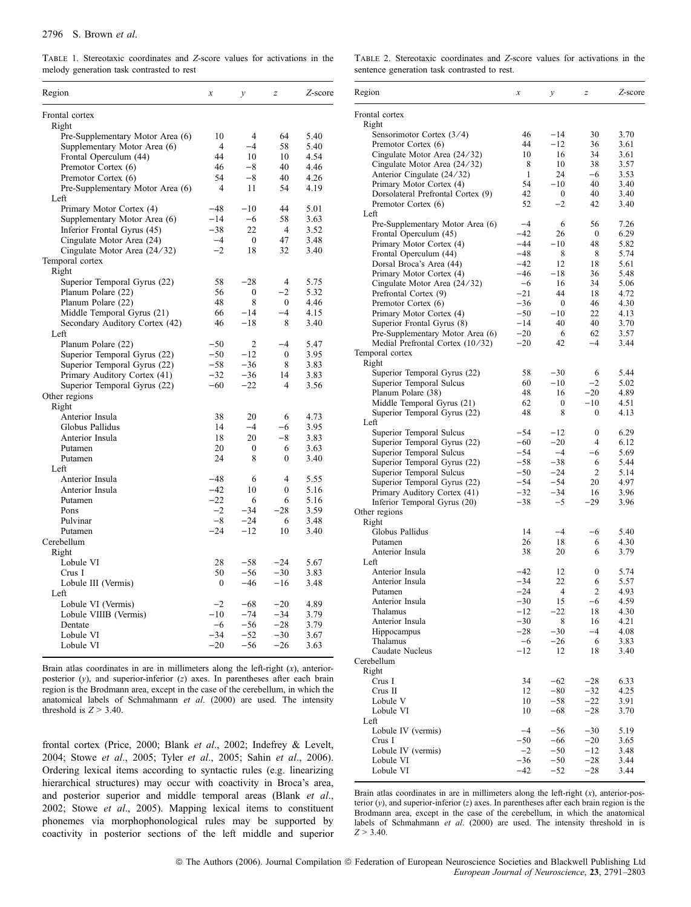Table 1. Stereotaxic coordinates and Z-score values for activations in the melody generation task contrasted to rest

| Region                           | $\boldsymbol{\chi}$ | $\mathcal{V}$  | Z                | Z-score |
|----------------------------------|---------------------|----------------|------------------|---------|
| Frontal cortex                   |                     |                |                  |         |
| Right                            |                     |                |                  |         |
| Pre-Supplementary Motor Area (6) | 10                  | 4              | 64               | 5.40    |
| Supplementary Motor Area (6)     | $\overline{4}$      | $-4$           | 58               | 5.40    |
| Frontal Operculum (44)           | 44                  | 10             | 10               | 4.54    |
| Premotor Cortex (6)              | 46                  | $-8$           | 40               | 4.46    |
| Premotor Cortex (6)              | 54                  | $-8$           | 40               | 4.26    |
| Pre-Supplementary Motor Area (6) | $\overline{4}$      | 11             | 54               | 4.19    |
| Left                             |                     |                |                  |         |
| Primary Motor Cortex (4)         | $-48$               | $-10$          | 44               | 5.01    |
| Supplementary Motor Area (6)     | $-14$               | $-6$           | 58               | 3.63    |
| Inferior Frontal Gyrus (45)      | $-38$               | 22             | $\overline{4}$   | 3.52    |
| Cingulate Motor Area (24)        | $-4$                | $\mathbf{0}$   | 47               | 3.48    |
| Cingulate Motor Area (24/32)     | $-2$                | 18             | 32               | 3.40    |
| Temporal cortex                  |                     |                |                  |         |
| Right                            |                     |                |                  |         |
| Superior Temporal Gyrus (22)     | 58                  | $-28$          | 4                | 5.75    |
| Planum Polare (22)               | 56                  | 0              | $^{-2}$          | 5.32    |
| Planum Polare (22)               | 48                  | 8              | $\mathbf{0}$     | 4.46    |
| Middle Temporal Gyrus (21)       | 66                  | $-14$          | $-4$             | 4.15    |
| Secondary Auditory Cortex (42)   | 46                  | $-18$          | 8                | 3.40    |
| Left                             |                     |                |                  |         |
| Planum Polare (22)               | $-50$               | $\overline{c}$ | $-4$             | 5.47    |
| Superior Temporal Gyrus (22)     | $-50$               | $-12$          | $\boldsymbol{0}$ | 3.95    |
| Superior Temporal Gyrus (22)     | $-58$               | $-36$          | 8                | 3.83    |
| Primary Auditory Cortex (41)     | $-32$               | $-36$          | 14               | 3.83    |
| Superior Temporal Gyrus (22)     | $-60$               | $-22$          | 4                | 3.56    |
| Other regions                    |                     |                |                  |         |
| Right                            |                     |                |                  |         |
| Anterior Insula                  | 38                  | 20             | 6                | 4.73    |
| Globus Pallidus                  | 14                  | $-4$           | $-6$             | 3.95    |
| Anterior Insula                  | 18                  | 20             | $-8$             | 3.83    |
| Putamen                          | 20                  | $\mathbf{0}$   | 6                | 3.63    |
| Putamen                          | 24                  | 8              | 0                | 3.40    |
| Left                             |                     |                |                  |         |
| Anterior Insula                  | $-48$               | 6              | $\overline{4}$   | 5.55    |
| Anterior Insula                  | $-42$               | 10             | $\boldsymbol{0}$ | 5.16    |
| Putamen                          | $-22$               | 6              | 6                | 5.16    |
| Pons                             | $-2$                | $-34$          | $-28$            | 3.59    |
| Pulvinar                         | $-8$                | $-24$          | 6                | 3.48    |
| Putamen                          | $-24$               | $-12$          | 10               | 3.40    |
| Cerebellum                       |                     |                |                  |         |
| Right                            |                     |                |                  |         |
| Lobule VI                        | 28                  | $-58$          | $-24$            | 5.67    |
| Crus I                           | 50                  | $-56$          | $-30$            | 3.83    |
| Lobule III (Vermis)              | $\mathbf{0}$        | $-46$          | $-16$            | 3.48    |
| Left                             |                     |                |                  |         |
| Lobule VI (Vermis)               | $^{-2}$             | -68            | $-20$            | 4.89    |
| Lobule VIIIB (Vermis)            | $-10$               | $-74$          | $-34$            | 3.79    |
| Dentate                          | $-6$                | $-56$          | $-28$            | 3.79    |
| Lobule VI                        | $-34$               | $-52$          | $-30$            | 3.67    |
| Lobule VI                        | $-20$               | $-56$          | $-26$            | 3.63    |
|                                  |                     |                |                  |         |

Brain atlas coordinates in are in millimeters along the left-right  $(x)$ , anteriorposterior  $(y)$ , and superior-inferior  $(z)$  axes. In parentheses after each brain region is the Brodmann area, except in the case of the cerebellum, in which the anatomical labels of Schmahmann et al. (2000) are used. The intensity threshold is  $Z > 3.40$ .

frontal cortex (Price, 2000; Blank et al., 2002; Indefrey & Levelt, 2004; Stowe et al., 2005; Tyler et al., 2005; Sahin et al., 2006). Ordering lexical items according to syntactic rules (e.g. linearizing hierarchical structures) may occur with coactivity in Broca's area, and posterior superior and middle temporal areas (Blank et al., 2002; Stowe et al., 2005). Mapping lexical items to constituent phonemes via morphophonological rules may be supported by coactivity in posterior sections of the left middle and superior

Table 2. Stereotaxic coordinates and Z-score values for activations in the sentence generation task contrasted to rest.

| Region                                                     | $\boldsymbol{x}$ | $\mathcal{Y}$    | $\boldsymbol{Z}$    | Z-score      |
|------------------------------------------------------------|------------------|------------------|---------------------|--------------|
| Frontal cortex                                             |                  |                  |                     |              |
| Right                                                      |                  |                  |                     |              |
| Sensorimotor Cortex (3/4)                                  | 46               | $-14$            | 30                  | 3.70         |
| Premotor Cortex (6)                                        | 44               | -12              | 36                  | 3.61         |
| Cingulate Motor Area (24/32)                               | 10               | 16               | 34                  | 3.61         |
| Cingulate Motor Area (24/32)                               | 8<br>1           | 10<br>24         | 38<br>-6            | 3.57<br>3.53 |
| Anterior Cingulate (24/32)<br>Primary Motor Cortex (4)     | 54               | -10              | 40                  | 3.40         |
| Dorsolateral Prefrontal Cortex (9)                         | 42               | $\boldsymbol{0}$ | 40                  | 3.40         |
| Premotor Cortex (6)                                        | 52               | $-2$             | 42                  | 3.40         |
| Left                                                       |                  |                  |                     |              |
| Pre-Supplementary Motor Area (6)                           | $-4$             | 6                | 56                  | 7.26         |
| Frontal Operculum (45)                                     | $-42$            | 26               | $\mathbf{0}$        | 6.29         |
| Primary Motor Cortex (4)                                   | $-44$            | $-10$            | 48                  | 5.82         |
| Frontal Operculum (44)                                     | -48              | 8                | 8                   | 5.74         |
| Dorsal Broca's Area (44)                                   | $-42$            | 12               | 18                  | 5.61         |
| Primary Motor Cortex (4)                                   | -46              | -18              | 36                  | 5.48         |
| Cingulate Motor Area (24/32)                               | -6               | 16               | 34                  | 5.06         |
| Prefrontal Cortex (9)                                      | -21              | 44               | 18                  | 4.72         |
| Premotor Cortex (6)                                        | $-36$            | $\boldsymbol{0}$ | 46                  | 4.30         |
| Primary Motor Cortex (4)                                   | $-50$            | $^{-10}$         | 22                  | 4.13         |
| Superior Frontal Gyrus (8)                                 | $-14$            | 40               | 40                  | 3.70         |
| Pre-Supplementary Motor Area (6)                           | $-20$            | 6                | 62                  | 3.57         |
| Medial Prefrontal Cortex (10/32)                           | $-20$            | 42               | $-4$                | 3.44         |
| Temporal cortex                                            |                  |                  |                     |              |
| Right                                                      |                  |                  |                     |              |
| Superior Temporal Gyrus (22)                               | 58               | $-30$            | 6                   | 5.44         |
| Superior Temporal Sulcus                                   | 60<br>48         | $^{-10}$<br>16   | $-2$<br>$^{-20}$    | 5.02<br>4.89 |
| Planum Polare (38)                                         | 62               | $\boldsymbol{0}$ | $-10$               | 4.51         |
| Middle Temporal Gyrus (21)<br>Superior Temporal Gyrus (22) | 48               | 8                | 0                   | 4.13         |
| Left                                                       |                  |                  |                     |              |
| Superior Temporal Sulcus                                   | $-54$            | $-12$            | $\boldsymbol{0}$    | 6.29         |
| Superior Temporal Gyrus (22)                               | $-60$            | $-20$            | 4                   | 6.12         |
| Superior Temporal Sulcus                                   | $-54$            | $-4$             | -6                  | 5.69         |
| Superior Temporal Gyrus (22)                               | $-58$            | -38              | 6                   | 5.44         |
| Superior Temporal Sulcus                                   | $-50$            | $-24$            | $\overline{c}$      | 5.14         |
| Superior Temporal Gyrus (22)                               | -54              | $-54$            | 20                  | 4.97         |
| Primary Auditory Cortex (41)                               | $-32$            | -34              | 16                  | 3.96         |
| Inferior Temporal Gyrus (20)                               | $-38$            | -5               | -29                 | 3.96         |
| Other regions                                              |                  |                  |                     |              |
| Right                                                      |                  |                  |                     |              |
| Globus Pallidus                                            | 14               | $-4$             | -6                  | 5.40         |
| Putamen                                                    | 26               | 18               | 6                   | 4.30         |
| Anterior Insula                                            | 38               | 20               | 6                   | 3.79         |
| Left                                                       |                  |                  |                     |              |
| Anterior Insula                                            | $-42$            | 12               | 0                   | 5.74         |
| Anterior Insula<br>Putamen                                 | $-34$<br>$-24$   | 22<br>4          | 6<br>$\overline{c}$ | 5.57         |
|                                                            | $-30$            | 15               | -6                  | 4.93         |
| Anterior Insula<br>Thalamus                                | -12              | -22              | 18                  | 4.59<br>4.30 |
| Anterior Insula                                            | $-30$            | 8                | 16                  | 4.21         |
| Hippocampus                                                | $-28$            | $-30$            | $-4$                | 4.08         |
| Thalamus                                                   | $-6$             | $-26$            | 6                   | 3.83         |
| Caudate Nucleus                                            | $-12$            | 12               | 18                  | 3.40         |
| Cerebellum                                                 |                  |                  |                     |              |
| Right                                                      |                  |                  |                     |              |
| Crus I                                                     | 34               | $-62$            | $-28$               | 6.33         |
| Crus II                                                    | 12               | $-80$            | $-32$               | 4.25         |
| Lobule V                                                   | 10               | $-58$            | $-22$               | 3.91         |
| Lobule VI                                                  | 10               | $-68$            | $-28$               | 3.70         |
| Left                                                       |                  |                  |                     |              |
| Lobule IV (vermis)                                         | $-4$             | $-56$            | $-30$               | 5.19         |
| Crus I                                                     | $-50$            | -66              | $-20$               | 3.65         |
| Lobule IV (vermis)                                         | $-2$             | $-50$            | $-12$               | 3.48         |
| Lobule VI                                                  | $-36$            | $-50$            | $-28$               | 3.44         |
| Lobule VI                                                  | $-42$            | $-52$            | $^{-28}$            | 3.44         |
|                                                            |                  |                  |                     |              |

Brain atlas coordinates in are in millimeters along the left-right  $(x)$ , anterior-posterior  $(y)$ , and superior-inferior  $(z)$  axes. In parentheses after each brain region is the Brodmann area, except in the case of the cerebellum, in which the anatomical labels of Schmahmann et al. (2000) are used. The intensity threshold in is  $Z > 3.40$ .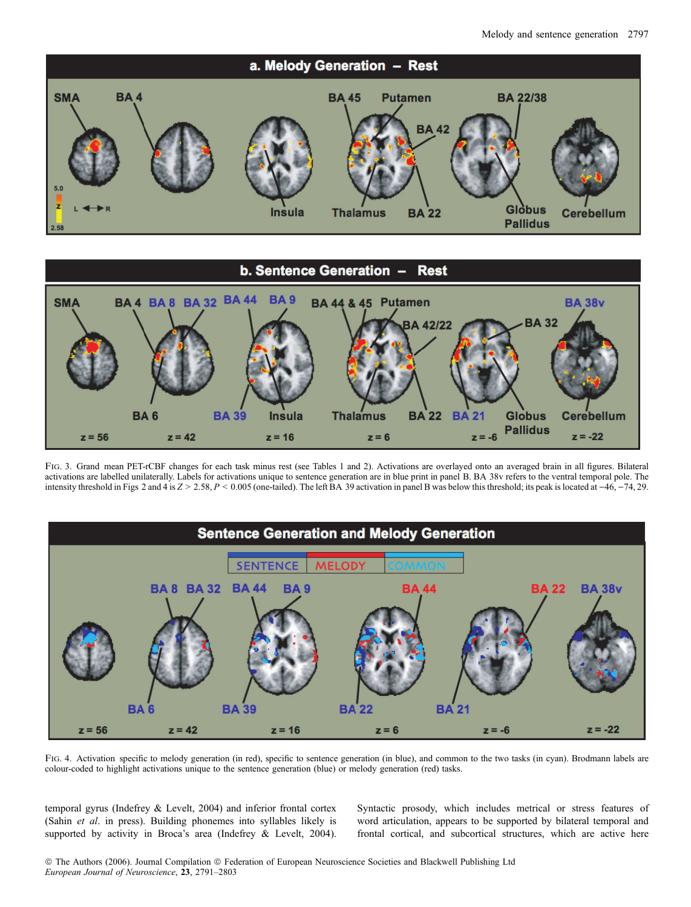



FIG. 3. Grand mean PET-rCBF changes for each task minus rest (see Tables 1 and 2). Activations are overlayed onto an averaged brain in all figures. Bilateral activations are labelled unilaterally. Labels for activations unique to sentence generation are in blue print in panel B. BA 38v refers to the ventral temporal pole. The intensity threshold in Figs 2 and 4 is  $Z > 2.58$ ,  $P < 0.005$  (one-tailed). The left BA 39 activation in panel B was below this threshold; its peak is located at  $-46$ ,  $-74$ , 29.



FIG. 4. Activation specific to melody generation (in red), specific to sentence generation (in blue), and common to the two tasks (in cyan). Brodmann labels are colour-coded to highlight activations unique to the sentence generation (blue) or melody generation (red) tasks.

temporal gyrus (Indefrey & Levelt, 2004) and inferior frontal cortex (Sahin et al. in press). Building phonemes into syllables likely is supported by activity in Broca's area (Indefrey & Levelt, 2004). Syntactic prosody, which includes metrical or stress features of word articulation, appears to be supported by bilateral temporal and frontal cortical, and subcortical structures, which are active here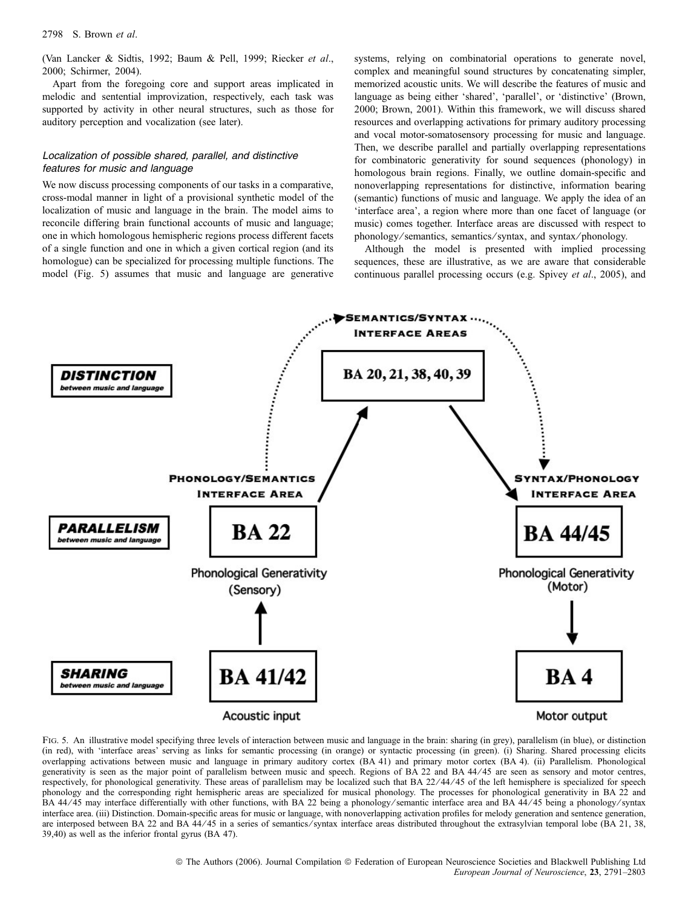#### 2798 S. Brown et al.

(Van Lancker & Sidtis, 1992; Baum & Pell, 1999; Riecker et al., 2000; Schirmer, 2004).

Apart from the foregoing core and support areas implicated in melodic and sentential improvization, respectively, each task was supported by activity in other neural structures, such as those for auditory perception and vocalization (see later).

# Localization of possible shared, parallel, and distinctive features for music and language

We now discuss processing components of our tasks in a comparative, cross-modal manner in light of a provisional synthetic model of the localization of music and language in the brain. The model aims to reconcile differing brain functional accounts of music and language; one in which homologous hemispheric regions process different facets of a single function and one in which a given cortical region (and its homologue) can be specialized for processing multiple functions. The model (Fig. 5) assumes that music and language are generative systems, relying on combinatorial operations to generate novel, complex and meaningful sound structures by concatenating simpler, memorized acoustic units. We will describe the features of music and language as being either 'shared', 'parallel', or 'distinctive' (Brown, 2000; Brown, 2001). Within this framework, we will discuss shared resources and overlapping activations for primary auditory processing and vocal motor-somatosensory processing for music and language. Then, we describe parallel and partially overlapping representations for combinatoric generativity for sound sequences (phonology) in homologous brain regions. Finally, we outline domain-specific and nonoverlapping representations for distinctive, information bearing (semantic) functions of music and language. We apply the idea of an 'interface area', a region where more than one facet of language (or music) comes together. Interface areas are discussed with respect to phonology ⁄semantics, semantics ⁄ syntax, and syntax ⁄ phonology.

Although the model is presented with implied processing sequences, these are illustrative, as we are aware that considerable continuous parallel processing occurs (e.g. Spivey et al., 2005), and



FIG. 5. An illustrative model specifying three levels of interaction between music and language in the brain: sharing (in grey), parallelism (in blue), or distinction (in red), with 'interface areas' serving as links for semantic processing (in orange) or syntactic processing (in green). (i) Sharing. Shared processing elicits overlapping activations between music and language in primary auditory cortex (BA 41) and primary motor cortex (BA 4). (ii) Parallelism. Phonological generativity is seen as the major point of parallelism between music and speech. Regions of BA 22 and BA 44/45 are seen as sensory and motor centres, respectively, for phonological generativity. These areas of parallelism may be localized such that BA 22/44/45 of the left hemisphere is specialized for speech phonology and the corresponding right hemispheric areas are specialized for musical phonology. The processes for phonological generativity in BA 22 and BA 44/45 may interface differentially with other functions, with BA 22 being a phonology/semantic interface area and BA 44/45 being a phonology/syntax interface area. (iii) Distinction. Domain-specific areas for music or language, with nonoverlapping activation profiles for melody generation and sentence generation, are interposed between BA 22 and BA 44/45 in a series of semantics/syntax interface areas distributed throughout the extrasylvian temporal lobe (BA 21, 38, 39,40) as well as the inferior frontal gyrus (BA 47).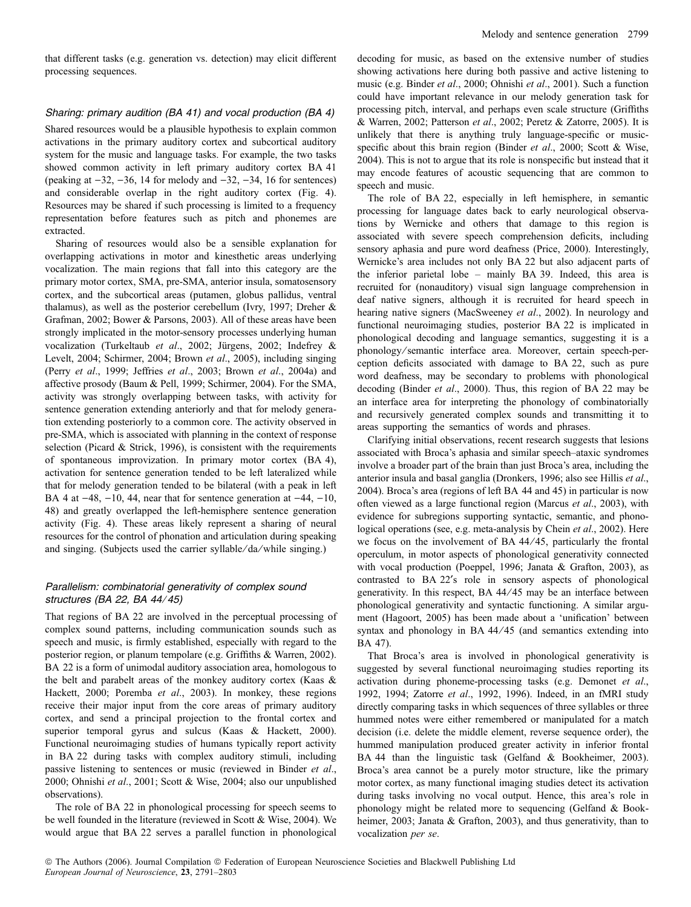that different tasks (e.g. generation vs. detection) may elicit different processing sequences.

# Sharing: primary audition (BA 41) and vocal production (BA 4)

Shared resources would be a plausible hypothesis to explain common activations in the primary auditory cortex and subcortical auditory system for the music and language tasks. For example, the two tasks showed common activity in left primary auditory cortex BA 41 (peaking at  $-32$ ,  $-36$ , 14 for melody and  $-32$ ,  $-34$ , 16 for sentences) and considerable overlap in the right auditory cortex (Fig. 4). Resources may be shared if such processing is limited to a frequency representation before features such as pitch and phonemes are extracted.

Sharing of resources would also be a sensible explanation for overlapping activations in motor and kinesthetic areas underlying vocalization. The main regions that fall into this category are the primary motor cortex, SMA, pre-SMA, anterior insula, somatosensory cortex, and the subcortical areas (putamen, globus pallidus, ventral thalamus), as well as the posterior cerebellum (Ivry, 1997; Dreher & Grafman, 2002; Bower & Parsons, 2003). All of these areas have been strongly implicated in the motor-sensory processes underlying human vocalization (Turkeltaub et al., 2002; Jürgens, 2002; Indefrey & Levelt, 2004; Schirmer, 2004; Brown et al., 2005), including singing (Perry et al., 1999; Jeffries et al., 2003; Brown et al., 2004a) and affective prosody (Baum & Pell, 1999; Schirmer, 2004). For the SMA, activity was strongly overlapping between tasks, with activity for sentence generation extending anteriorly and that for melody generation extending posteriorly to a common core. The activity observed in pre-SMA, which is associated with planning in the context of response selection (Picard & Strick, 1996), is consistent with the requirements of spontaneous improvization. In primary motor cortex (BA 4), activation for sentence generation tended to be left lateralized while that for melody generation tended to be bilateral (with a peak in left BA 4 at  $-48$ ,  $-10$ , 44, near that for sentence generation at  $-44$ ,  $-10$ , 48) and greatly overlapped the left-hemisphere sentence generation activity (Fig. 4). These areas likely represent a sharing of neural resources for the control of phonation and articulation during speaking and singing. (Subjects used the carrier syllable/da/while singing.)

# Parallelism: combinatorial generativity of complex sound structures (BA 22, BA 44/45)

That regions of BA 22 are involved in the perceptual processing of complex sound patterns, including communication sounds such as speech and music, is firmly established, especially with regard to the posterior region, or planum tempolare (e.g. Griffiths & Warren, 2002). BA 22 is a form of unimodal auditory association area, homologous to the belt and parabelt areas of the monkey auditory cortex (Kaas & Hackett, 2000; Poremba et al., 2003). In monkey, these regions receive their major input from the core areas of primary auditory cortex, and send a principal projection to the frontal cortex and superior temporal gyrus and sulcus (Kaas & Hackett, 2000). Functional neuroimaging studies of humans typically report activity in BA 22 during tasks with complex auditory stimuli, including passive listening to sentences or music (reviewed in Binder et al., 2000; Ohnishi et al., 2001; Scott & Wise, 2004; also our unpublished observations).

The role of BA 22 in phonological processing for speech seems to be well founded in the literature (reviewed in Scott & Wise, 2004). We would argue that BA 22 serves a parallel function in phonological decoding for music, as based on the extensive number of studies showing activations here during both passive and active listening to music (e.g. Binder et al., 2000; Ohnishi et al., 2001). Such a function could have important relevance in our melody generation task for processing pitch, interval, and perhaps even scale structure (Griffiths & Warren, 2002; Patterson et al., 2002; Peretz & Zatorre, 2005). It is unlikely that there is anything truly language-specific or musicspecific about this brain region (Binder *et al.*, 2000; Scott & Wise, 2004). This is not to argue that its role is nonspecific but instead that it may encode features of acoustic sequencing that are common to speech and music.

The role of BA 22, especially in left hemisphere, in semantic processing for language dates back to early neurological observations by Wernicke and others that damage to this region is associated with severe speech comprehension deficits, including sensory aphasia and pure word deafness (Price, 2000). Interestingly, Wernicke's area includes not only BA 22 but also adjacent parts of the inferior parietal lobe – mainly BA 39. Indeed, this area is recruited for (nonauditory) visual sign language comprehension in deaf native signers, although it is recruited for heard speech in hearing native signers (MacSweeney et al., 2002). In neurology and functional neuroimaging studies, posterior BA 22 is implicated in phonological decoding and language semantics, suggesting it is a phonology ⁄ semantic interface area. Moreover, certain speech-perception deficits associated with damage to BA 22, such as pure word deafness, may be secondary to problems with phonological decoding (Binder et al., 2000). Thus, this region of BA 22 may be an interface area for interpreting the phonology of combinatorially and recursively generated complex sounds and transmitting it to areas supporting the semantics of words and phrases.

Clarifying initial observations, recent research suggests that lesions associated with Broca's aphasia and similar speech–ataxic syndromes involve a broader part of the brain than just Broca's area, including the anterior insula and basal ganglia (Dronkers, 1996; also see Hillis et al., 2004). Broca's area (regions of left BA 44 and 45) in particular is now often viewed as a large functional region (Marcus et al., 2003), with evidence for subregions supporting syntactic, semantic, and phonological operations (see, e.g. meta-analysis by Chein *et al.*, 2002). Here we focus on the involvement of BA 44/45, particularly the frontal operculum, in motor aspects of phonological generativity connected with vocal production (Poeppel, 1996; Janata & Grafton, 2003), as contrasted to BA 22's role in sensory aspects of phonological generativity. In this respect, BA 44 ⁄ 45 may be an interface between phonological generativity and syntactic functioning. A similar argument (Hagoort, 2005) has been made about a 'unification' between syntax and phonology in BA 44/45 (and semantics extending into BA 47).

That Broca's area is involved in phonological generativity is suggested by several functional neuroimaging studies reporting its activation during phoneme-processing tasks (e.g. Demonet et al., 1992, 1994; Zatorre et al., 1992, 1996). Indeed, in an fMRI study directly comparing tasks in which sequences of three syllables or three hummed notes were either remembered or manipulated for a match decision (i.e. delete the middle element, reverse sequence order), the hummed manipulation produced greater activity in inferior frontal BA 44 than the linguistic task (Gelfand & Bookheimer, 2003). Broca's area cannot be a purely motor structure, like the primary motor cortex, as many functional imaging studies detect its activation during tasks involving no vocal output. Hence, this area's role in phonology might be related more to sequencing (Gelfand & Bookheimer, 2003; Janata & Grafton, 2003), and thus generativity, than to vocalization per se.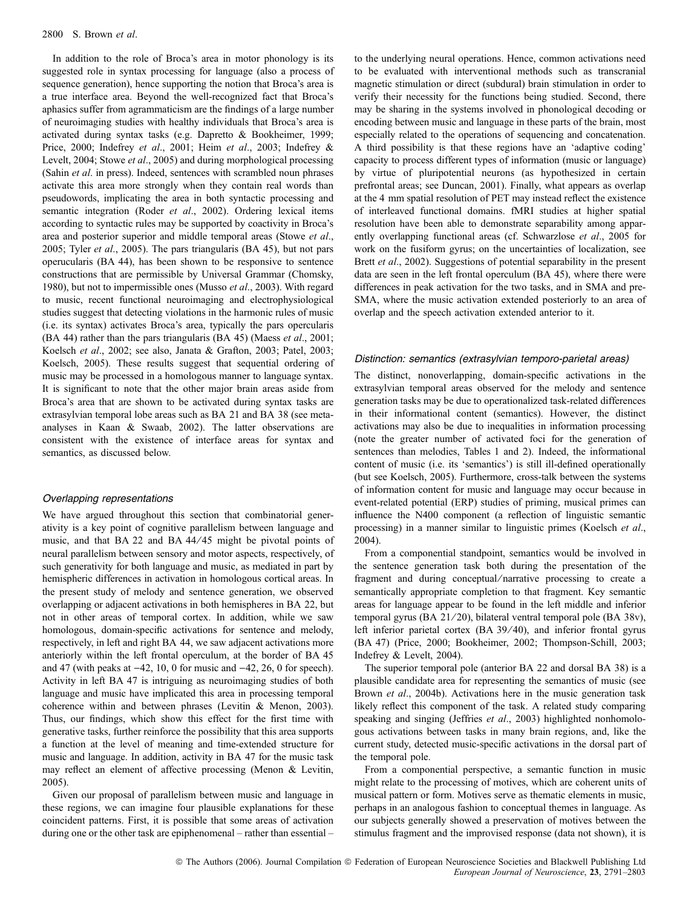In addition to the role of Broca's area in motor phonology is its suggested role in syntax processing for language (also a process of sequence generation), hence supporting the notion that Broca's area is a true interface area. Beyond the well-recognized fact that Broca's aphasics suffer from agrammaticism are the findings of a large number of neuroimaging studies with healthy individuals that Broca's area is activated during syntax tasks (e.g. Dapretto & Bookheimer, 1999; Price, 2000; Indefrey et al., 2001; Heim et al., 2003; Indefrey & Levelt, 2004; Stowe et al., 2005) and during morphological processing (Sahin et al. in press). Indeed, sentences with scrambled noun phrases activate this area more strongly when they contain real words than pseudowords, implicating the area in both syntactic processing and semantic integration (Roder et al., 2002). Ordering lexical items according to syntactic rules may be supported by coactivity in Broca's area and posterior superior and middle temporal areas (Stowe et al., 2005; Tyler et al., 2005). The pars triangularis (BA 45), but not pars operucularis (BA 44), has been shown to be responsive to sentence constructions that are permissible by Universal Grammar (Chomsky, 1980), but not to impermissible ones (Musso et al., 2003). With regard to music, recent functional neuroimaging and electrophysiological studies suggest that detecting violations in the harmonic rules of music (i.e. its syntax) activates Broca's area, typically the pars opercularis (BA 44) rather than the pars triangularis (BA 45) (Maess et al., 2001; Koelsch et al., 2002; see also, Janata & Grafton, 2003; Patel, 2003; Koelsch, 2005). These results suggest that sequential ordering of music may be processed in a homologous manner to language syntax. It is significant to note that the other major brain areas aside from Broca's area that are shown to be activated during syntax tasks are extrasylvian temporal lobe areas such as BA 21 and BA 38 (see metaanalyses in Kaan & Swaab, 2002). The latter observations are consistent with the existence of interface areas for syntax and semantics, as discussed below.

## Overlapping representations

We have argued throughout this section that combinatorial generativity is a key point of cognitive parallelism between language and music, and that BA 22 and BA 44/45 might be pivotal points of neural parallelism between sensory and motor aspects, respectively, of such generativity for both language and music, as mediated in part by hemispheric differences in activation in homologous cortical areas. In the present study of melody and sentence generation, we observed overlapping or adjacent activations in both hemispheres in BA 22, but not in other areas of temporal cortex. In addition, while we saw homologous, domain-specific activations for sentence and melody, respectively, in left and right BA 44, we saw adjacent activations more anteriorly within the left frontal operculum, at the border of BA 45 and 47 (with peaks at  $-42$ , 10, 0 for music and  $-42$ , 26, 0 for speech). Activity in left BA 47 is intriguing as neuroimaging studies of both language and music have implicated this area in processing temporal coherence within and between phrases (Levitin & Menon, 2003). Thus, our findings, which show this effect for the first time with generative tasks, further reinforce the possibility that this area supports a function at the level of meaning and time-extended structure for music and language. In addition, activity in BA 47 for the music task may reflect an element of affective processing (Menon & Levitin, 2005).

Given our proposal of parallelism between music and language in these regions, we can imagine four plausible explanations for these coincident patterns. First, it is possible that some areas of activation during one or the other task are epiphenomenal – rather than essential –

to the underlying neural operations. Hence, common activations need to be evaluated with interventional methods such as transcranial magnetic stimulation or direct (subdural) brain stimulation in order to verify their necessity for the functions being studied. Second, there may be sharing in the systems involved in phonological decoding or encoding between music and language in these parts of the brain, most especially related to the operations of sequencing and concatenation. A third possibility is that these regions have an 'adaptive coding' capacity to process different types of information (music or language) by virtue of pluripotential neurons (as hypothesized in certain prefrontal areas; see Duncan, 2001). Finally, what appears as overlap at the 4 mm spatial resolution of PET may instead reflect the existence of interleaved functional domains. fMRI studies at higher spatial resolution have been able to demonstrate separability among apparently overlapping functional areas (cf. Schwarzlose et al., 2005 for work on the fusiform gyrus; on the uncertainties of localization, see Brett et al., 2002). Suggestions of potential separability in the present data are seen in the left frontal operculum (BA 45), where there were differences in peak activation for the two tasks, and in SMA and pre-SMA, where the music activation extended posteriorly to an area of overlap and the speech activation extended anterior to it.

#### Distinction: semantics (extrasylvian temporo-parietal areas)

The distinct, nonoverlapping, domain-specific activations in the extrasylvian temporal areas observed for the melody and sentence generation tasks may be due to operationalized task-related differences in their informational content (semantics). However, the distinct activations may also be due to inequalities in information processing (note the greater number of activated foci for the generation of sentences than melodies, Tables 1 and 2). Indeed, the informational content of music (i.e. its 'semantics') is still ill-defined operationally (but see Koelsch, 2005). Furthermore, cross-talk between the systems of information content for music and language may occur because in event-related potential (ERP) studies of priming, musical primes can influence the N400 component (a reflection of linguistic semantic processing) in a manner similar to linguistic primes (Koelsch et al., 2004).

From a componential standpoint, semantics would be involved in the sentence generation task both during the presentation of the fragment and during conceptual/narrative processing to create a semantically appropriate completion to that fragment. Key semantic areas for language appear to be found in the left middle and inferior temporal gyrus (BA 21/20), bilateral ventral temporal pole (BA 38v), left inferior parietal cortex (BA 39/40), and inferior frontal gyrus (BA 47) (Price, 2000; Bookheimer, 2002; Thompson-Schill, 2003; Indefrey & Levelt, 2004).

The superior temporal pole (anterior BA 22 and dorsal BA 38) is a plausible candidate area for representing the semantics of music (see Brown et al., 2004b). Activations here in the music generation task likely reflect this component of the task. A related study comparing speaking and singing (Jeffries et al., 2003) highlighted nonhomologous activations between tasks in many brain regions, and, like the current study, detected music-specific activations in the dorsal part of the temporal pole.

From a componential perspective, a semantic function in music might relate to the processing of motives, which are coherent units of musical pattern or form. Motives serve as thematic elements in music, perhaps in an analogous fashion to conceptual themes in language. As our subjects generally showed a preservation of motives between the stimulus fragment and the improvised response (data not shown), it is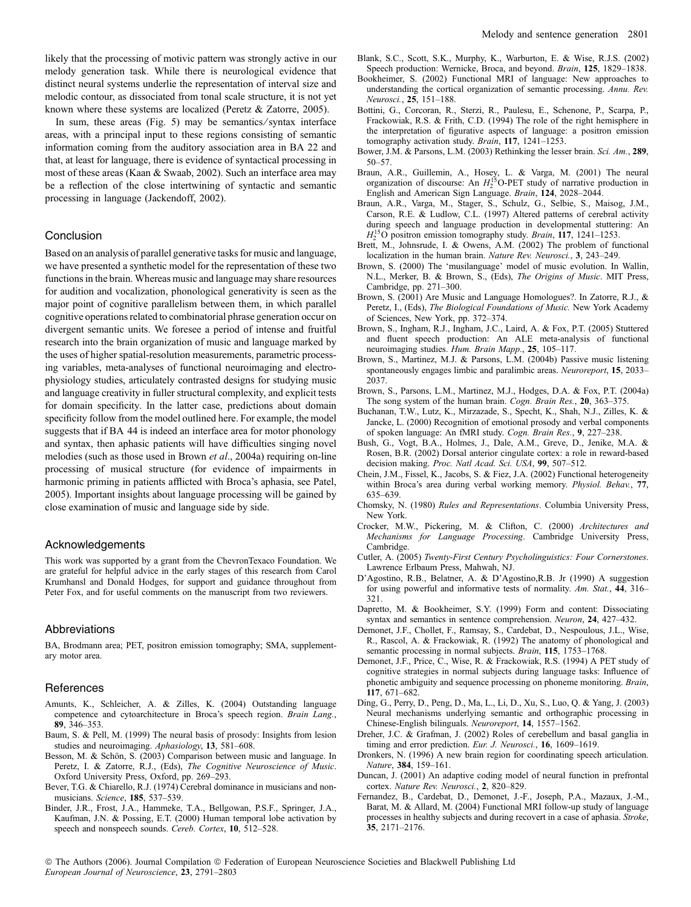likely that the processing of motivic pattern was strongly active in our melody generation task. While there is neurological evidence that distinct neural systems underlie the representation of interval size and melodic contour, as dissociated from tonal scale structure, it is not yet known where these systems are localized (Peretz & Zatorre, 2005).

In sum, these areas (Fig. 5) may be semantics/syntax interface areas, with a principal input to these regions consisting of semantic information coming from the auditory association area in BA 22 and that, at least for language, there is evidence of syntactical processing in most of these areas (Kaan & Swaab, 2002). Such an interface area may be a reflection of the close intertwining of syntactic and semantic processing in language (Jackendoff, 2002).

## Conclusion

Based on an analysis of parallel generative tasks for music and language, we have presented a synthetic model for the representation of these two functions in the brain. Whereas music and language may share resources for audition and vocalization, phonological generativity is seen as the major point of cognitive parallelism between them, in which parallel cognitive operations related to combinatorial phrase generation occur on divergent semantic units. We foresee a period of intense and fruitful research into the brain organization of music and language marked by the uses of higher spatial-resolution measurements, parametric processing variables, meta-analyses of functional neuroimaging and electrophysiology studies, articulately contrasted designs for studying music and language creativity in fuller structural complexity, and explicit tests for domain specificity. In the latter case, predictions about domain specificity follow from the model outlined here. For example, the model suggests that if BA 44 is indeed an interface area for motor phonology and syntax, then aphasic patients will have difficulties singing novel melodies (such as those used in Brown et al., 2004a) requiring on-line processing of musical structure (for evidence of impairments in harmonic priming in patients afflicted with Broca's aphasia, see Patel, 2005). Important insights about language processing will be gained by close examination of music and language side by side.

## Acknowledgements

This work was supported by a grant from the ChevronTexaco Foundation. We are grateful for helpful advice in the early stages of this research from Carol Krumhansl and Donald Hodges, for support and guidance throughout from Peter Fox, and for useful comments on the manuscript from two reviewers.

# Abbreviations

BA, Brodmann area; PET, positron emission tomography; SMA, supplementary motor area.

#### References

- Amunts, K., Schleicher, A. & Zilles, K. (2004) Outstanding language competence and cytoarchitecture in Broca's speech region. Brain Lang., 89, 346–353.
- Baum, S. & Pell, M. (1999) The neural basis of prosody: Insights from lesion studies and neuroimaging. Aphasiology, 13, 581–608.
- Besson, M. & Schön, S. (2003) Comparison between music and language. In Peretz, I. & Zatorre, R.J., (Eds), The Cognitive Neuroscience of Music. Oxford University Press, Oxford, pp. 269–293.
- Bever, T.G. & Chiarello, R.J. (1974) Cerebral dominance in musicians and nonmusicians. Science, 185, 537–539.
- Binder, J.R., Frost, J.A., Hammeke, T.A., Bellgowan, P.S.F., Springer, J.A., Kaufman, J.N. & Possing, E.T. (2000) Human temporal lobe activation by speech and nonspeech sounds. Cereb. Cortex, 10, 512–528.
- Blank, S.C., Scott, S.K., Murphy, K., Warburton, E. & Wise, R.J.S. (2002) Speech production: Wernicke, Broca, and beyond. Brain, 125, 1829–1838.
- Bookheimer, S. (2002) Functional MRI of language: New approaches to understanding the cortical organization of semantic processing. Annu. Rev. Neurosci., 25, 151–188.
- Bottini, G., Corcoran, R., Sterzi, R., Paulesu, E., Schenone, P., Scarpa, P., Frackowiak, R.S. & Frith, C.D. (1994) The role of the right hemisphere in the interpretation of figurative aspects of language: a positron emission tomography activation study. Brain, 117, 1241-1253.
- Bower, J.M. & Parsons, L.M. (2003) Rethinking the lesser brain. Sci. Am., 289, 50–57.
- Braun, A.R., Guillemin, A., Hosey, L. & Varga, M. (2001) The neural organization of discourse: An  $H_2^{15}$ O-PET study of narrative production in English and American Sign Language. Brain, 124, 2028–2044.
- Braun, A.R., Varga, M., Stager, S., Schulz, G., Selbie, S., Maisog, J.M., Carson, R.E. & Ludlow, C.L. (1997) Altered patterns of cerebral activity during speech and language production in developmental stuttering: An  $H_2^{15}$ O positron emission tomography study. *Brain*, **117**, 1241–1253.
- Brett, M., Johnsrude, I. & Owens, A.M. (2002) The problem of functional localization in the human brain. Nature Rev. Neurosci., 3, 243–249.
- Brown, S. (2000) The 'musilanguage' model of music evolution. In Wallin, N.L., Merker, B. & Brown, S., (Eds), The Origins of Music. MIT Press, Cambridge, pp. 271–300.
- Brown, S. (2001) Are Music and Language Homologues?. In Zatorre, R.J., & Peretz, I., (Eds), The Biological Foundations of Music. New York Academy of Sciences, New York, pp. 372–374.
- Brown, S., Ingham, R.J., Ingham, J.C., Laird, A. & Fox, P.T. (2005) Stuttered and fluent speech production: An ALE meta-analysis of functional neuroimaging studies. Hum. Brain Mapp., 25, 105–117.
- Brown, S., Martinez, M.J. & Parsons, L.M. (2004b) Passive music listening spontaneously engages limbic and paralimbic areas. Neuroreport, 15, 2033– 2037.
- Brown, S., Parsons, L.M., Martinez, M.J., Hodges, D.A. & Fox, P.T. (2004a) The song system of the human brain. Cogn. Brain Res., 20, 363–375.
- Buchanan, T.W., Lutz, K., Mirzazade, S., Specht, K., Shah, N.J., Zilles, K. & Jancke, L. (2000) Recognition of emotional prosody and verbal components of spoken language: An fMRI study. Cogn. Brain Res., 9, 227–238.
- Bush, G., Vogt, B.A., Holmes, J., Dale, A.M., Greve, D., Jenike, M.A. & Rosen, B.R. (2002) Dorsal anterior cingulate cortex: a role in reward-based decision making. Proc. Natl Acad. Sci. USA, 99, 507-512.
- Chein, J.M., Fissel, K., Jacobs, S. & Fiez, J.A. (2002) Functional heterogeneity within Broca's area during verbal working memory. Physiol. Behav., 77, 635–639.
- Chomsky, N. (1980) Rules and Representations. Columbia University Press, New York.
- Crocker, M.W., Pickering, M. & Clifton, C. (2000) Architectures and Mechanisms for Language Processing. Cambridge University Press, Cambridge.
- Cutler, A. (2005) Twenty-First Century Psycholinguistics: Four Cornerstones. Lawrence Erlbaum Press, Mahwah, NJ.
- D'Agostino, R.B., Belatner, A. & D'Agostino,R.B. Jr (1990) A suggestion for using powerful and informative tests of normality. Am. Stat., 44, 316– 321.
- Dapretto, M. & Bookheimer, S.Y. (1999) Form and content: Dissociating syntax and semantics in sentence comprehension. Neuron, 24, 427–432.
- Demonet, J.F., Chollet, F., Ramsay, S., Cardebat, D., Nespoulous, J.L., Wise, R., Rascol, A. & Frackowiak, R. (1992) The anatomy of phonological and semantic processing in normal subjects. Brain, 115, 1753-1768.
- Demonet, J.F., Price, C., Wise, R. & Frackowiak, R.S. (1994) A PET study of cognitive strategies in normal subjects during language tasks: Influence of phonetic ambiguity and sequence processing on phoneme monitoring. Brain, 117, 671–682.
- Ding, G., Perry, D., Peng, D., Ma, L., Li, D., Xu, S., Luo, Q. & Yang, J. (2003) Neural mechanisms underlying semantic and orthographic processing in Chinese-English bilinguals. Neuroreport, 14, 1557–1562.
- Dreher, J.C. & Grafman, J. (2002) Roles of cerebellum and basal ganglia in timing and error prediction. Eur. J. Neurosci., **16**, 1609–1619.
- Dronkers, N. (1996) A new brain region for coordinating speech articulation. Nature, 384, 159–161.
- Duncan, J. (2001) An adaptive coding model of neural function in prefrontal cortex. Nature Rev. Neurosci., 2, 820–829.
- Fernandez, B., Cardebat, D., Demonet, J.-F., Joseph, P.A., Mazaux, J.-M., Barat, M. & Allard, M. (2004) Functional MRI follow-up study of language processes in healthy subjects and during recovert in a case of aphasia. Stroke, 35, 2171–2176.

© The Authors (2006). Journal Compilation © Federation of European Neuroscience Societies and Blackwell Publishing Ltd European Journal of Neuroscience, 23, 2791–2803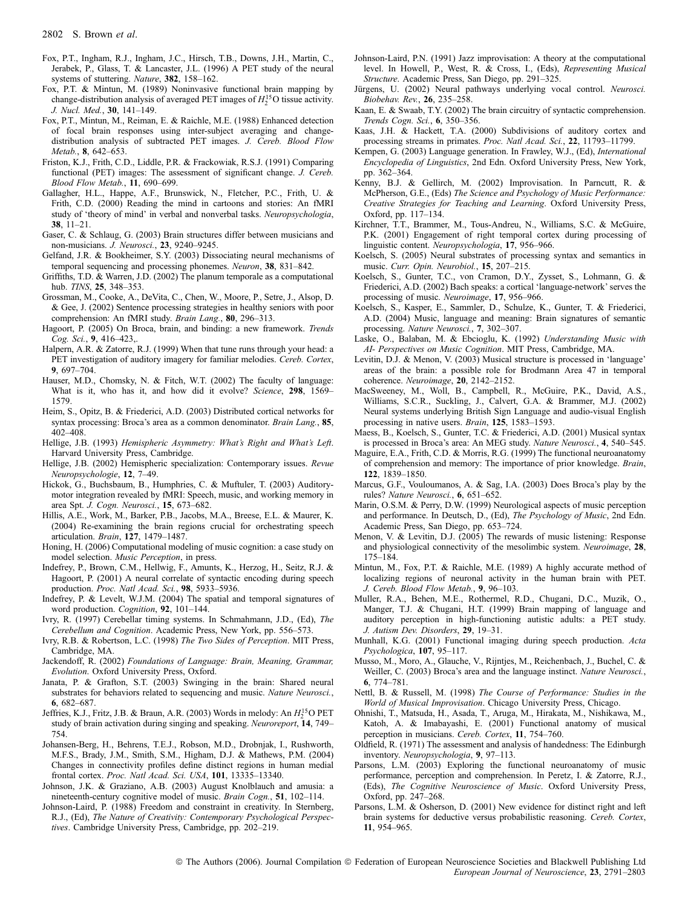- Fox, P.T., Ingham, R.J., Ingham, J.C., Hirsch, T.B., Downs, J.H., Martin, C., Jerabek, P., Glass, T. & Lancaster, J.L. (1996) A PET study of the neural systems of stuttering. Nature, 382, 158–162.
- Fox, P.T. & Mintun, M. (1989) Noninvasive functional brain mapping by change-distribution analysis of averaged PET images of  $H_2^{15}$ O tissue activity. J. Nucl. Med., 30, 141–149.
- Fox, P.T., Mintun, M., Reiman, E. & Raichle, M.E. (1988) Enhanced detection of focal brain responses using inter-subject averaging and changedistribution analysis of subtracted PET images. J. Cereb. Blood Flow Metab., 8, 642–653.
- Friston, K.J., Frith, C.D., Liddle, P.R. & Frackowiak, R.S.J. (1991) Comparing functional (PET) images: The assessment of significant change. J. Cereb. Blood Flow Metab., 11, 690–699.
- Gallagher, H.L., Happe, A.F., Brunswick, N., Fletcher, P.C., Frith, U. & Frith, C.D. (2000) Reading the mind in cartoons and stories: An fMRI study of 'theory of mind' in verbal and nonverbal tasks. Neuropsychologia, 38, 11–21.
- Gaser, C. & Schlaug, G. (2003) Brain structures differ between musicians and non-musicians. J. Neurosci., 23, 9240–9245.
- Gelfand, J.R. & Bookheimer, S.Y. (2003) Dissociating neural mechanisms of temporal sequencing and processing phonemes. Neuron, 38, 831–842.
- Griffiths, T.D. & Warren, J.D. (2002) The planum temporale as a computational hub. TINS, 25, 348–353.
- Grossman, M., Cooke, A., DeVita, C., Chen, W., Moore, P., Setre, J., Alsop, D. & Gee, J. (2002) Sentence processing strategies in healthy seniors with poor comprehension: An fMRI study. Brain Lang., 80, 296–313.
- Hagoort, P. (2005) On Broca, brain, and binding: a new framework. Trends Cog. Sci., 9, 416–423.
- Halpern, A.R. & Zatorre, R.J. (1999) When that tune runs through your head: a PET investigation of auditory imagery for familiar melodies. Cereb. Cortex, 9, 697–704.
- Hauser, M.D., Chomsky, N. & Fitch, W.T. (2002) The faculty of language: What is it, who has it, and how did it evolve? Science, 298, 1569– 1579.
- Heim, S., Opitz, B. & Friederici, A.D. (2003) Distributed cortical networks for syntax processing: Broca's area as a common denominator. Brain Lang., 85, 402–408.
- Hellige, J.B. (1993) Hemispheric Asymmetry: What's Right and What's Left. Harvard University Press, Cambridge.
- Hellige, J.B. (2002) Hemispheric specialization: Contemporary issues. Revue Neuropsychologie, 12, 7–49.
- Hickok, G., Buchsbaum, B., Humphries, C. & Muftuler, T. (2003) Auditorymotor integration revealed by fMRI: Speech, music, and working memory in area Spt. J. Cogn. Neurosci., 15, 673–682.
- Hillis, A.E., Work, M., Barker, P.B., Jacobs, M.A., Breese, E.L. & Maurer, K. (2004) Re-examining the brain regions crucial for orchestrating speech articulation. Brain, 127, 1479–1487.
- Honing, H. (2006) Computational modeling of music cognition: a case study on model selection. Music Perception, in press.
- Indefrey, P., Brown, C.M., Hellwig, F., Amunts, K., Herzog, H., Seitz, R.J. & Hagoort, P. (2001) A neural correlate of syntactic encoding during speech production. Proc. Natl Acad. Sci., 98, 5933-5936.
- Indefrey, P. & Levelt, W.J.M. (2004) The spatial and temporal signatures of word production. Cognition, 92, 101–144.
- Ivry, R. (1997) Cerebellar timing systems. In Schmahmann, J.D., (Ed), The Cerebellum and Cognition. Academic Press, New York, pp. 556–573.
- Ivry, R.B. & Robertson, L.C. (1998) The Two Sides of Perception. MIT Press, Cambridge, MA.
- Jackendoff, R. (2002) Foundations of Language: Brain, Meaning, Grammar, Evolution. Oxford University Press, Oxford.
- Janata, P. & Grafton, S.T. (2003) Swinging in the brain: Shared neural substrates for behaviors related to sequencing and music. Nature Neurosci., 6, 682–687.
- Jeffries, K.J., Fritz, J.B. & Braun, A.R. (2003) Words in melody: An  $H_2^{15}$ O PET study of brain activation during singing and speaking. Neuroreport, 14, 749– 754.
- Johansen-Berg, H., Behrens, T.E.J., Robson, M.D., Drobnjak, I., Rushworth, M.F.S., Brady, J.M., Smith, S.M., Higham, D.J. & Mathews, P.M. (2004) Changes in connectivity profiles define distinct regions in human medial frontal cortex. Proc. Natl Acad. Sci. USA, 101, 13335–13340.
- Johnson, J.K. & Graziano, A.B. (2003) August Knolblauch and amusia: a nineteenth-century cognitive model of music. Brain Cogn., 51, 102–114.
- Johnson-Laird, P. (1988) Freedom and constraint in creativity. In Sternberg, R.J., (Ed), The Nature of Creativity: Contemporary Psychological Perspectives. Cambridge University Press, Cambridge, pp. 202–219.
- Johnson-Laird, P.N. (1991) Jazz improvisation: A theory at the computational level. In Howell, P., West, R. & Cross, I., (Eds), Representing Musical Structure. Academic Press, San Diego, pp. 291–325.
- Jürgens, U. (2002) Neural pathways underlying vocal control. Neurosci. Biobehav. Rev., 26, 235–258.
- Kaan, E. & Swaab, T.Y. (2002) The brain circuitry of syntactic comprehension. Trends Cogn. Sci., 6, 350–356.
- Kaas, J.H. & Hackett, T.A. (2000) Subdivisions of auditory cortex and processing streams in primates. Proc. Natl Acad. Sci., 22, 11793–11799.
- Kempen, G. (2003) Language generation. In Frawley, W.J., (Ed), International Encyclopedia of Linguistics, 2nd Edn. Oxford University Press, New York, pp. 362–364.
- Kenny, B.J. & Gellirch, M. (2002) Improvisation. In Parncutt, R. & McPherson, G.E., (Eds) The Science and Psychology of Music Performance: Creative Strategies for Teaching and Learning. Oxford University Press, Oxford, pp. 117–134.
- Kirchner, T.T., Brammer, M., Tous-Andreu, N., Williams, S.C. & McGuire, P.K. (2001) Engagement of right temporal cortex during processing of linguistic content. Neuropsychologia, 17, 956–966.
- Koelsch, S. (2005) Neural substrates of processing syntax and semantics in music. Curr. Opin. Neurobiol., 15, 207–215.
- Koelsch, S., Gunter, T.C., von Cramon, D.Y., Zysset, S., Lohmann, G. & Friederici, A.D. (2002) Bach speaks: a cortical 'language-network' serves the processing of music. Neuroimage, 17, 956–966.
- Koelsch, S., Kasper, E., Sammler, D., Schulze, K., Gunter, T. & Friederici, A.D. (2004) Music, language and meaning: Brain signatures of semantic processing. Nature Neurosci., 7, 302–307.
- Laske, O., Balaban, M. & Ebcioglu, K. (1992) Understanding Music with AI- Perspectives on Music Cognition. MIT Press, Cambridge, MA.
- Levitin, D.J. & Menon, V. (2003) Musical structure is processed in 'language' areas of the brain: a possible role for Brodmann Area 47 in temporal coherence. Neuroimage, 20, 2142–2152.
- MacSweeney, M., Woll, B., Campbell, R., McGuire, P.K., David, A.S., Williams, S.C.R., Suckling, J., Calvert, G.A. & Brammer, M.J. (2002) Neural systems underlying British Sign Language and audio-visual English processing in native users. Brain, 125, 1583-1593.
- Maess, B., Koelsch, S., Gunter, T.C. & Friederici, A.D. (2001) Musical syntax is processed in Broca's area: An MEG study. Nature Neurosci., 4, 540–545.
- Maguire, E.A., Frith, C.D. & Morris, R.G. (1999) The functional neuroanatomy of comprehension and memory: The importance of prior knowledge. Brain, 122, 1839–1850.
- Marcus, G.F., Vouloumanos, A. & Sag, I.A. (2003) Does Broca's play by the rules? Nature Neurosci., 6, 651–652.
- Marin, O.S.M. & Perry, D.W. (1999) Neurological aspects of music perception and performance. In Deutsch, D., (Ed), The Psychology of Music, 2nd Edn. Academic Press, San Diego, pp. 653–724.
- Menon, V. & Levitin, D.J. (2005) The rewards of music listening: Response and physiological connectivity of the mesolimbic system. Neuroimage, 28, 175–184.
- Mintun, M., Fox, P.T. & Raichle, M.E. (1989) A highly accurate method of localizing regions of neuronal activity in the human brain with PET. J. Cereb. Blood Flow Metab., 9, 96–103.
- Muller, R.A., Behen, M.E., Rothermel, R.D., Chugani, D.C., Muzik, O., Manger, T.J. & Chugani, H.T. (1999) Brain mapping of language and auditory perception in high-functioning autistic adults: a PET study. J. Autism Dev. Disorders, 29, 19–31.
- Munhall, K.G. (2001) Functional imaging during speech production. Acta Psychologica, 107, 95–117.
- Musso, M., Moro, A., Glauche, V., Rijntjes, M., Reichenbach, J., Buchel, C. & Weiller, C. (2003) Broca's area and the language instinct. Nature Neurosci., 6, 774–781.
- Nettl, B. & Russell, M. (1998) The Course of Performance: Studies in the World of Musical Improvisation. Chicago University Press, Chicago.
- Ohnishi, T., Matsuda, H., Asada, T., Aruga, M., Hirakata, M., Nishikawa, M., Katoh, A. & Imabayashi, E. (2001) Functional anatomy of musical perception in musicians. Cereb. Cortex, 11, 754–760.
- Oldfield, R. (1971) The assessment and analysis of handedness: The Edinburgh inventory. Neuropsychologia, 9, 97–113.
- Parsons, L.M. (2003) Exploring the functional neuroanatomy of music performance, perception and comprehension. In Peretz, I. & Zatorre, R.J., (Eds), The Cognitive Neuroscience of Music. Oxford University Press, Oxford, pp. 247–268.
- Parsons, L.M. & Osherson, D. (2001) New evidence for distinct right and left brain systems for deductive versus probabilistic reasoning. Cereb. Cortex, 11, 954–965.